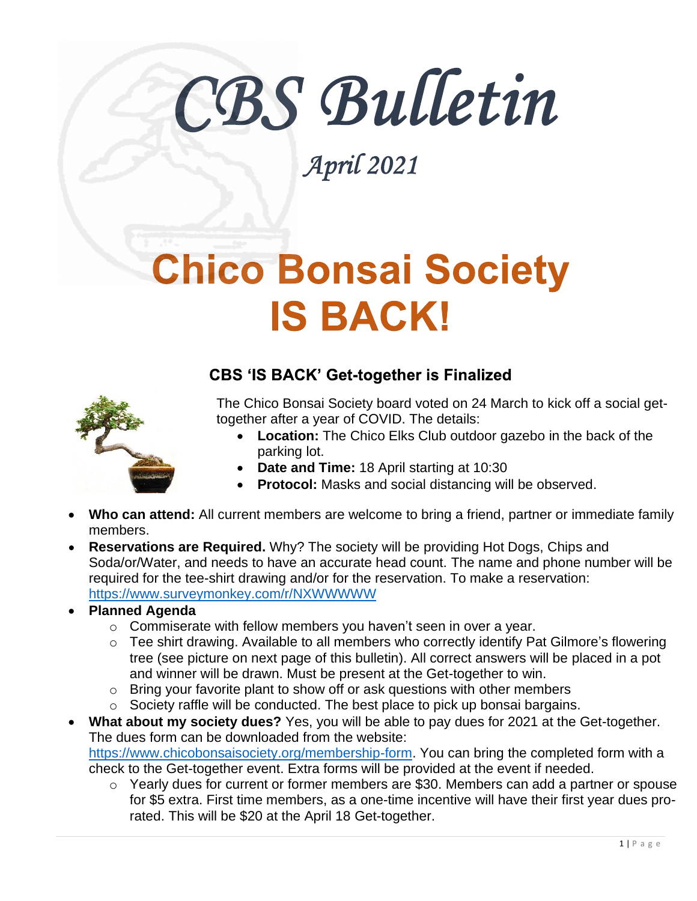# CBS Bulletin

April 2021

### **Chico Bonsai Society IS BACK!**

#### **CBS 'IS BACK' Get-together is Finalized**

The Chico Bonsai Society board voted on 24 March to kick off a social gettogether after a year of COVID. The details:

- **Location:** The Chico Elks Club outdoor gazebo in the back of the parking lot.
- **Date and Time:** 18 April starting at 10:30
- **Protocol:** Masks and social distancing will be observed.
- **Who can attend:** All current members are welcome to bring a friend, partner or immediate family members.
- $\bullet$ **Reservations are Required.** Why? The society will be providing Hot Dogs, Chips and Soda/or/Water, and needs to have an accurate head count. The name and phone number will be required for the tee-shirt drawing and/or for the reservation. To make a reservation: <https://www.surveymonkey.com/r/NXWWWWW>

• **Planned Agenda**

- o Commiserate with fellow members you haven't seen in over a year.
- o Tee shirt drawing. Available to all members who correctly identify Pat Gilmore's flowering tree (see picture on next page of this bulletin). All correct answers will be placed in a pot and winner will be drawn. Must be present at the Get-together to win.
- o Bring your favorite plant to show off or ask questions with other members
- o Society raffle will be conducted. The best place to pick up bonsai bargains.
- **What about my society dues?** Yes, you will be able to pay dues for 2021 at the Get-together. The dues form can be downloaded from the website: [https://www.chicobonsaisociety.org/membership-form.](https://www.chicobonsaisociety.org/membership-form) You can bring the completed form with a check to the Get-together event. Extra forms will be provided at the event if needed.
	- o Yearly dues for current or former members are \$30. Members can add a partner or spouse for \$5 extra. First time members, as a one-time incentive will have their first year dues prorated. This will be \$20 at the April 18 Get-together.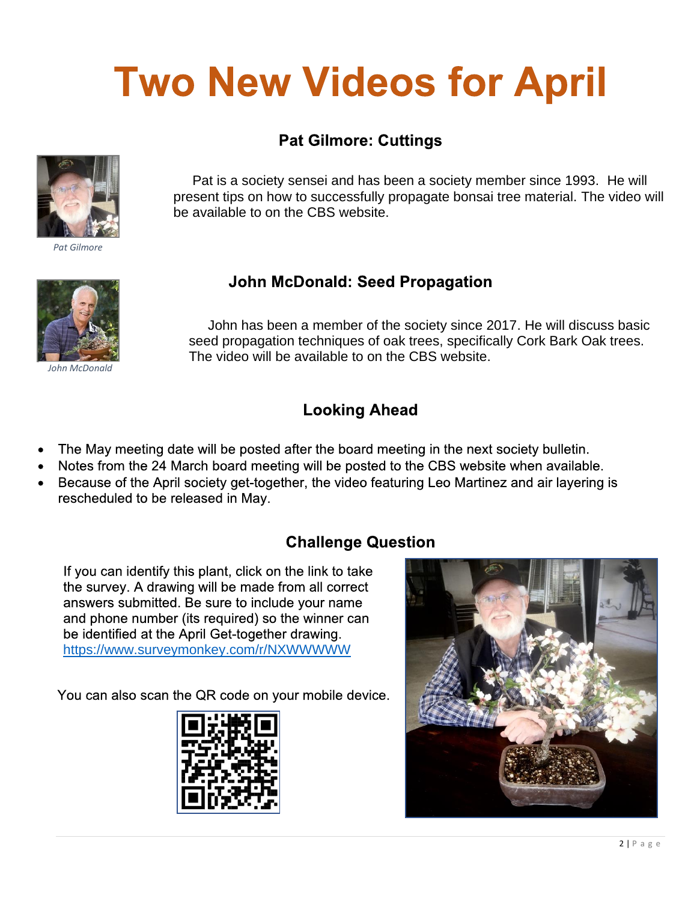## **Two New Videos for April**

#### **Pat Gilmore: Cuttings**



*Pat Gilmore*

 Pat is a society sensei and has been a society member since 1993. He will present tips on how to successfully propagate bonsai tree material. The video will be available to on the CBS website.

#### **John McDonald: Seed Propagation**



*John McDonald*

 John has been a member of the society since 2017. He will discuss basic seed propagation techniques of oak trees, specifically Cork Bark Oak trees. The video will be available to on the CBS website.

#### **Looking Ahead**

- The May meeting date will be posted after the board meeting in the next society bulletin.
- Notes from the 24 March board meeting will be posted to the CBS website when available.
- Because of the April society get-together, the video featuring Leo Martinez and air layering is rescheduled to be released in May.

#### **Challenge Question**

If you can identify this plant, click on the link to take the survey. A drawing will be made from all correct answers submitted. Be sure to include your name and phone number (its required) so the winner can be identified at the April Get-together drawing. <https://www.surveymonkey.com/r/NXWWWWW>

You can also scan the QR code on your mobile device.